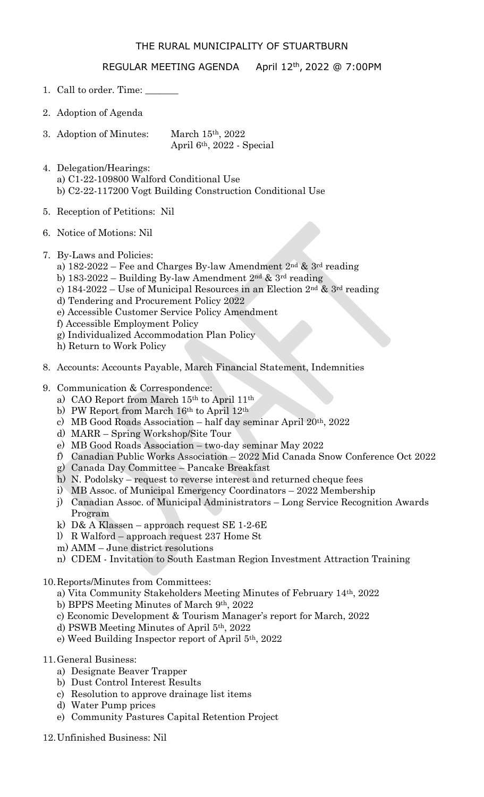## THE RURAL MUNICIPALITY OF STUARTBURN

## REGULAR MEETING AGENDA April 12<sup>th</sup>, 2022 @ 7:00PM

- 1. Call to order. Time:
- 2. Adoption of Agenda
- 3. Adoption of Minutes: March 15th, 2022 April 6th, 2022 - Special
- 4. Delegation/Hearings: a) C1-22-109800 Walford Conditional Use b) C2-22-117200 Vogt Building Construction Conditional Use
- 5. Reception of Petitions: Nil
- 6. Notice of Motions: Nil
- 7. By-Laws and Policies:
	- a) 182-2022 Fee and Charges By-law Amendment 2nd & 3rd reading
	- b) 183-2022 Building By-law Amendment 2nd & 3rd reading
	- c) 184-2022 Use of Municipal Resources in an Election  $2<sup>nd</sup>$  &  $3<sup>rd</sup>$  reading
	- d) Tendering and Procurement Policy 2022
	- e) Accessible Customer Service Policy Amendment
	- f) Accessible Employment Policy
	- g) Individualized Accommodation Plan Policy
	- h) Return to Work Policy
- 8. Accounts: Accounts Payable, March Financial Statement, Indemnities
- 9. Communication & Correspondence:
	- a) CAO Report from March 15th to April 11th
	- b) PW Report from March 16th to April 12th
	- c) MB Good Roads Association half day seminar April 20th, 2022
	- d) MARR Spring Workshop/Site Tour
	- e) MB Good Roads Association two-day seminar May 2022
	- f) Canadian Public Works Association 2022 Mid Canada Snow Conference Oct 2022
	- g) Canada Day Committee Pancake Breakfast
	- h) N. Podolsky request to reverse interest and returned cheque fees
	- i) MB Assoc. of Municipal Emergency Coordinators 2022 Membership
	- j) Canadian Assoc. of Municipal Administrators Long Service Recognition Awards Program
	- k) D& A Klassen approach request SE 1-2-6E
	- l) R Walford approach request 237 Home St
	- m) AMM June district resolutions
	- n) CDEM Invitation to South Eastman Region Investment Attraction Training
- 10.Reports/Minutes from Committees:
	- a) Vita Community Stakeholders Meeting Minutes of February 14th, 2022
	- b) BPPS Meeting Minutes of March 9th, 2022
	- c) Economic Development & Tourism Manager's report for March, 2022
	- d) PSWB Meeting Minutes of April 5th, 2022
	- e) Weed Building Inspector report of April 5th, 2022
- 11.General Business:
	- a) Designate Beaver Trapper
	- b) Dust Control Interest Results
	- c) Resolution to approve drainage list items
	- d) Water Pump prices
	- e) Community Pastures Capital Retention Project
- 12.Unfinished Business: Nil